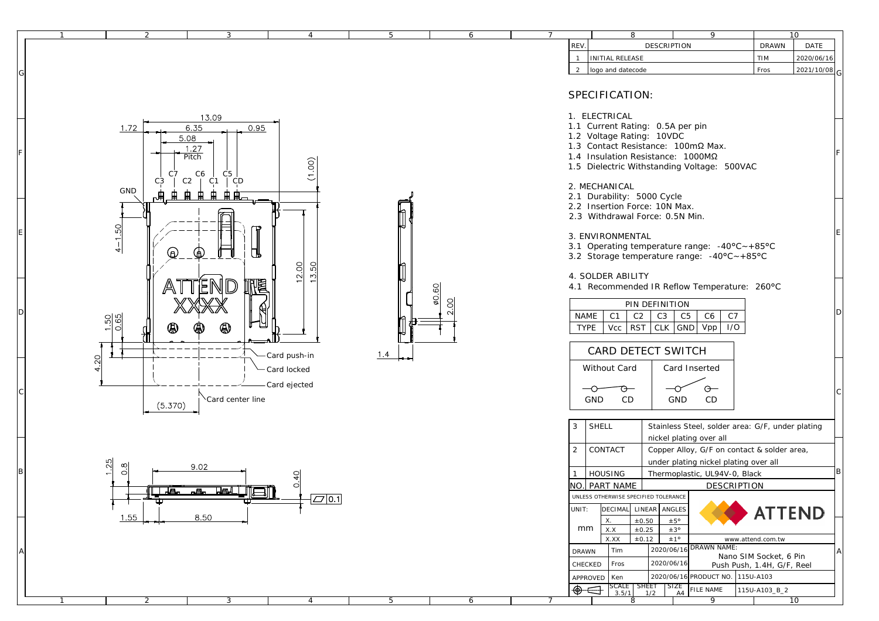